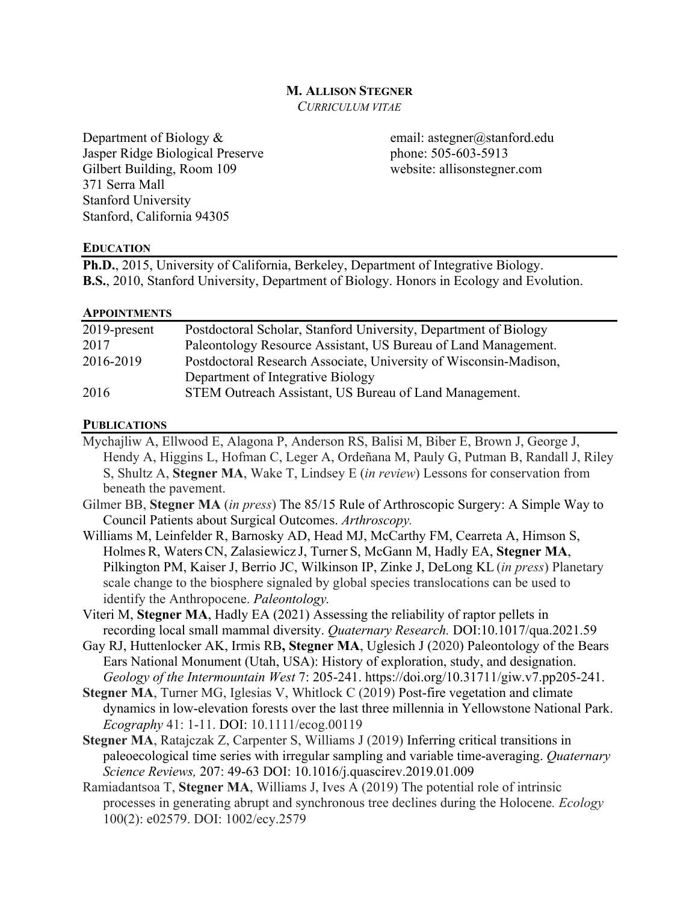### **M. ALLISON STEGNER**

*CURRICULUM VITAE*

Department of Biology & email: astegner@stanford.edu Jasper Ridge Biological Preserve phone: 505-603-5913 Gilbert Building, Room 109 website: allisonstegner.com 371 Serra Mall Stanford University Stanford, California 94305

### **EDUCATION**

**Ph.D.**, 2015, University of California, Berkeley, Department of Integrative Biology. **B.S.**, 2010, Stanford University, Department of Biology. Honors in Ecology and Evolution.

#### **APPOINTMENTS**

| $2019$ -present | Postdoctoral Scholar, Stanford University, Department of Biology  |
|-----------------|-------------------------------------------------------------------|
| 2017            | Paleontology Resource Assistant, US Bureau of Land Management.    |
| 2016-2019       | Postdoctoral Research Associate, University of Wisconsin-Madison, |
|                 | Department of Integrative Biology                                 |
| 2016            | STEM Outreach Assistant, US Bureau of Land Management.            |

### **PUBLICATIONS**

- Mychajliw A, Ellwood E, Alagona P, Anderson RS, Balisi M, Biber E, Brown J, George J, Hendy A, Higgins L, Hofman C, Leger A, Ordeñana M, Pauly G, Putman B, Randall J, Riley S, Shultz A, **Stegner MA**, Wake T, Lindsey E (*in review*) Lessons for conservation from beneath the pavement.
- Gilmer BB, **Stegner MA** (*in press*) The 85/15 Rule of Arthroscopic Surgery: A Simple Way to Council Patients about Surgical Outcomes. *Arthroscopy.*
- Williams M, Leinfelder R, Barnosky AD, Head MJ, McCarthy FM, Cearreta A, Himson S, Holmes R, Waters CN, Zalasiewicz J, Turner S, McGann M, Hadly EA, **Stegner MA**, Pilkington PM, Kaiser J, Berrio JC, Wilkinson IP, Zinke J, DeLong KL (*in press*) Planetary scale change to the biosphere signaled by global species translocations can be used to identify the Anthropocene. *Paleontology.*
- Viteri M, **Stegner MA**, Hadly EA (2021) Assessing the reliability of raptor pellets in recording local small mammal diversity. *Quaternary Research.* DOI:10.1017/qua.2021.59
- Gay RJ, Huttenlocker AK, Irmis RB**, Stegner MA**, Uglesich J (2020) Paleontology of the Bears Ears National Monument (Utah, USA): History of exploration, study, and designation. *Geology of the Intermountain West* 7: 205-241. https://doi.org/10.31711/giw.v7.pp205-241.
- **Stegner MA**, Turner MG, Iglesias V, Whitlock C (2019) Post-fire vegetation and climate dynamics in low-elevation forests over the last three millennia in Yellowstone National Park. *Ecography* 41: 1-11. DOI: 10.1111/ecog.00119
- **Stegner MA**, Ratajczak Z, Carpenter S, Williams J (2019) Inferring critical transitions in paleoecological time series with irregular sampling and variable time-averaging. *Quaternary Science Reviews,* 207: 49-63 DOI: 10.1016/j.quascirev.2019.01.009
- Ramiadantsoa T, **Stegner MA**, Williams J, Ives A (2019) The potential role of intrinsic processes in generating abrupt and synchronous tree declines during the Holocene*. Ecology*  100(2): e02579. DOI: 1002/ecy.2579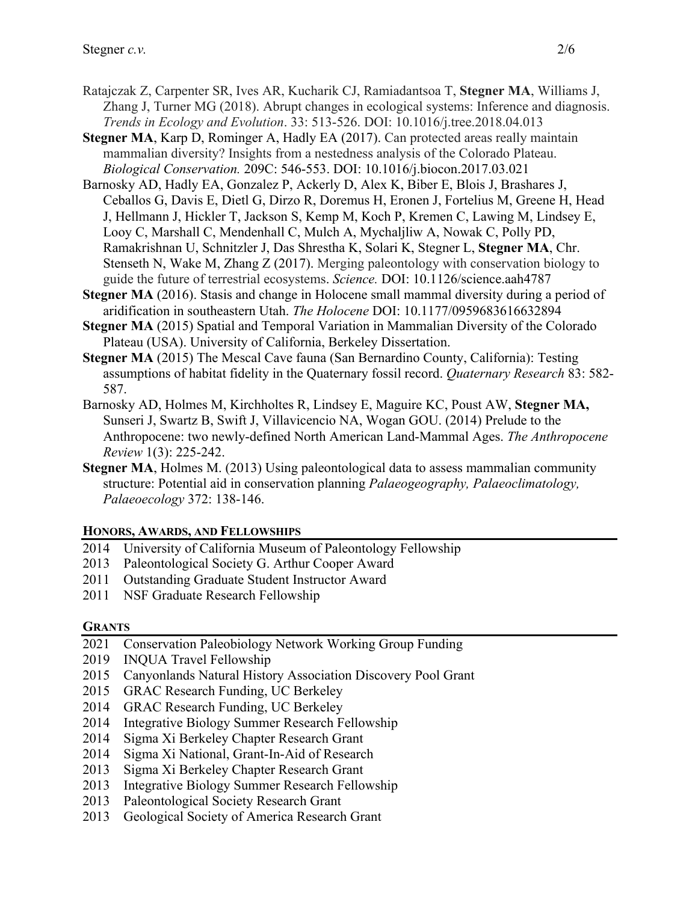- Ratajczak Z, Carpenter SR, Ives AR, Kucharik CJ, Ramiadantsoa T, **Stegner MA**, Williams J, Zhang J, Turner MG (2018). Abrupt changes in ecological systems: Inference and diagnosis. *Trends in Ecology and Evolution*. 33: 513-526. DOI: 10.1016/j.tree.2018.04.013
- **Stegner MA**, Karp D, Rominger A, Hadly EA (2017). Can protected areas really maintain mammalian diversity? Insights from a nestedness analysis of the Colorado Plateau. *Biological Conservation.* 209C: 546-553. DOI: 10.1016/j.biocon.2017.03.021
- Barnosky AD, Hadly EA, Gonzalez P, Ackerly D, Alex K, Biber E, Blois J, Brashares J, Ceballos G, Davis E, Dietl G, Dirzo R, Doremus H, Eronen J, Fortelius M, Greene H, Head J, Hellmann J, Hickler T, Jackson S, Kemp M, Koch P, Kremen C, Lawing M, Lindsey E, Looy C, Marshall C, Mendenhall C, Mulch A, Mychaljliw A, Nowak C, Polly PD, Ramakrishnan U, Schnitzler J, Das Shrestha K, Solari K, Stegner L, **Stegner MA**, Chr. Stenseth N, Wake M, Zhang Z (2017). Merging paleontology with conservation biology to guide the future of terrestrial ecosystems. *Science.* DOI: 10.1126/science.aah4787
- **Stegner MA** (2016). Stasis and change in Holocene small mammal diversity during a period of aridification in southeastern Utah. *The Holocene* DOI: 10.1177/0959683616632894
- **Stegner MA** (2015) Spatial and Temporal Variation in Mammalian Diversity of the Colorado Plateau (USA). University of California, Berkeley Dissertation.
- **Stegner MA** (2015) The Mescal Cave fauna (San Bernardino County, California): Testing assumptions of habitat fidelity in the Quaternary fossil record. *Quaternary Research* 83: 582- 587.
- Barnosky AD, Holmes M, Kirchholtes R, Lindsey E, Maguire KC, Poust AW, **Stegner MA,** Sunseri J, Swartz B, Swift J, Villavicencio NA, Wogan GOU. (2014) Prelude to the Anthropocene: two newly-defined North American Land-Mammal Ages. *The Anthropocene Review* 1(3): 225-242.
- **Stegner MA, Holmes M. (2013) Using paleontological data to assess mammalian community** structure: Potential aid in conservation planning *Palaeogeography, Palaeoclimatology, Palaeoecology* 372: 138-146.

## **HONORS, AWARDS, AND FELLOWSHIPS**

- 2014 University of California Museum of Paleontology Fellowship
- 2013 Paleontological Society G. Arthur Cooper Award
- 2011 Outstanding Graduate Student Instructor Award
- 2011 NSF Graduate Research Fellowship

### **GRANTS**

- 2021 Conservation Paleobiology Network Working Group Funding
- 2019 INQUA Travel Fellowship
- 2015 Canyonlands Natural History Association Discovery Pool Grant
- 2015 GRAC Research Funding, UC Berkeley
- 2014 GRAC Research Funding, UC Berkeley
- 2014 Integrative Biology Summer Research Fellowship
- 2014 Sigma Xi Berkeley Chapter Research Grant
- 2014 Sigma Xi National, Grant-In-Aid of Research
- 2013 Sigma Xi Berkeley Chapter Research Grant
- 2013 Integrative Biology Summer Research Fellowship
- 2013 Paleontological Society Research Grant
- 2013 Geological Society of America Research Grant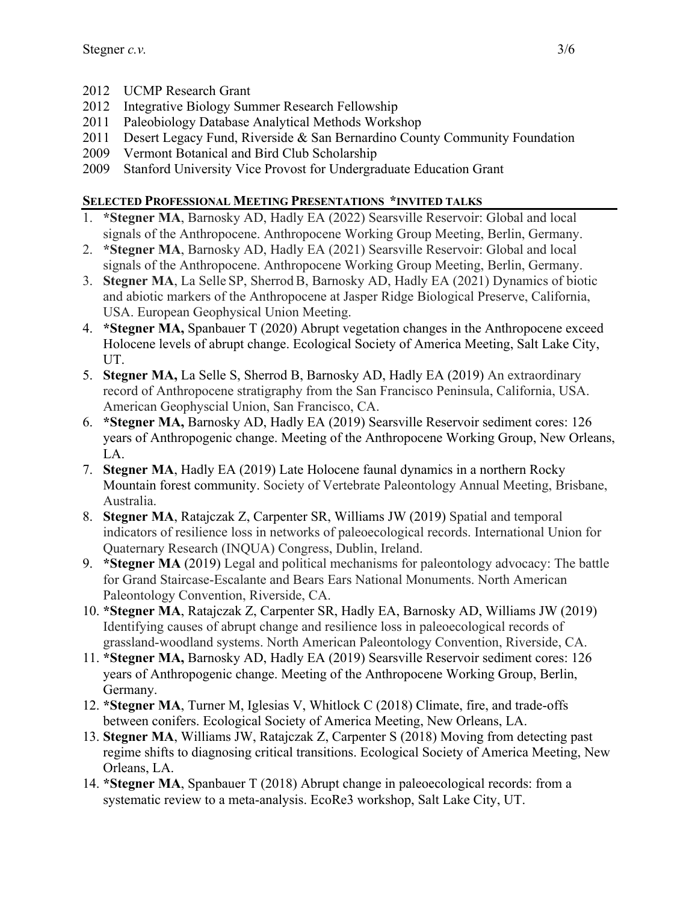- 2012 UCMP Research Grant
- 2012 Integrative Biology Summer Research Fellowship
- 2011 Paleobiology Database Analytical Methods Workshop
- 2011 Desert Legacy Fund, Riverside & San Bernardino County Community Foundation
- 2009 Vermont Botanical and Bird Club Scholarship
- 2009 Stanford University Vice Provost for Undergraduate Education Grant

# **SELECTED PROFESSIONAL MEETING PRESENTATIONS \*INVITED TALKS**

- 1. **\*Stegner MA**, Barnosky AD, Hadly EA (2022) Searsville Reservoir: Global and local signals of the Anthropocene. Anthropocene Working Group Meeting, Berlin, Germany.
- 2. **\*Stegner MA**, Barnosky AD, Hadly EA (2021) Searsville Reservoir: Global and local signals of the Anthropocene. Anthropocene Working Group Meeting, Berlin, Germany.
- 3. **Stegner MA**, La Selle SP, SherrodB, Barnosky AD, Hadly EA (2021) Dynamics of biotic and abiotic markers of the Anthropocene at Jasper Ridge Biological Preserve, California, USA. European Geophysical Union Meeting.
- 4. **\*Stegner MA,** Spanbauer T (2020) Abrupt vegetation changes in the Anthropocene exceed Holocene levels of abrupt change. Ecological Society of America Meeting, Salt Lake City, UT.
- 5. **Stegner MA,** La Selle S, Sherrod B, Barnosky AD, Hadly EA (2019) An extraordinary record of Anthropocene stratigraphy from the San Francisco Peninsula, California, USA. American Geophyscial Union, San Francisco, CA.
- 6. **\*Stegner MA,** Barnosky AD, Hadly EA (2019) Searsville Reservoir sediment cores: 126 years of Anthropogenic change. Meeting of the Anthropocene Working Group, New Orleans, LA.
- 7. **Stegner MA**, Hadly EA (2019) Late Holocene faunal dynamics in a northern Rocky Mountain forest community. Society of Vertebrate Paleontology Annual Meeting, Brisbane, Australia.
- 8. **Stegner MA**, Ratajczak Z, Carpenter SR, Williams JW (2019) Spatial and temporal indicators of resilience loss in networks of paleoecological records. International Union for Quaternary Research (INQUA) Congress, Dublin, Ireland.
- 9. **\*Stegner MA** (2019) Legal and political mechanisms for paleontology advocacy: The battle for Grand Staircase-Escalante and Bears Ears National Monuments. North American Paleontology Convention, Riverside, CA.
- 10. **\*Stegner MA**, Ratajczak Z, Carpenter SR, Hadly EA, Barnosky AD, Williams JW (2019) Identifying causes of abrupt change and resilience loss in paleoecological records of grassland-woodland systems. North American Paleontology Convention, Riverside, CA.
- 11. **\*Stegner MA,** Barnosky AD, Hadly EA (2019) Searsville Reservoir sediment cores: 126 years of Anthropogenic change. Meeting of the Anthropocene Working Group, Berlin, Germany.
- 12. **\*Stegner MA**, Turner M, Iglesias V, Whitlock C (2018) Climate, fire, and trade-offs between conifers. Ecological Society of America Meeting, New Orleans, LA.
- 13. **Stegner MA**, Williams JW, Ratajczak Z, Carpenter S (2018) Moving from detecting past regime shifts to diagnosing critical transitions. Ecological Society of America Meeting, New Orleans, LA.
- 14. **\*Stegner MA**, Spanbauer T (2018) Abrupt change in paleoecological records: from a systematic review to a meta-analysis. EcoRe3 workshop, Salt Lake City, UT.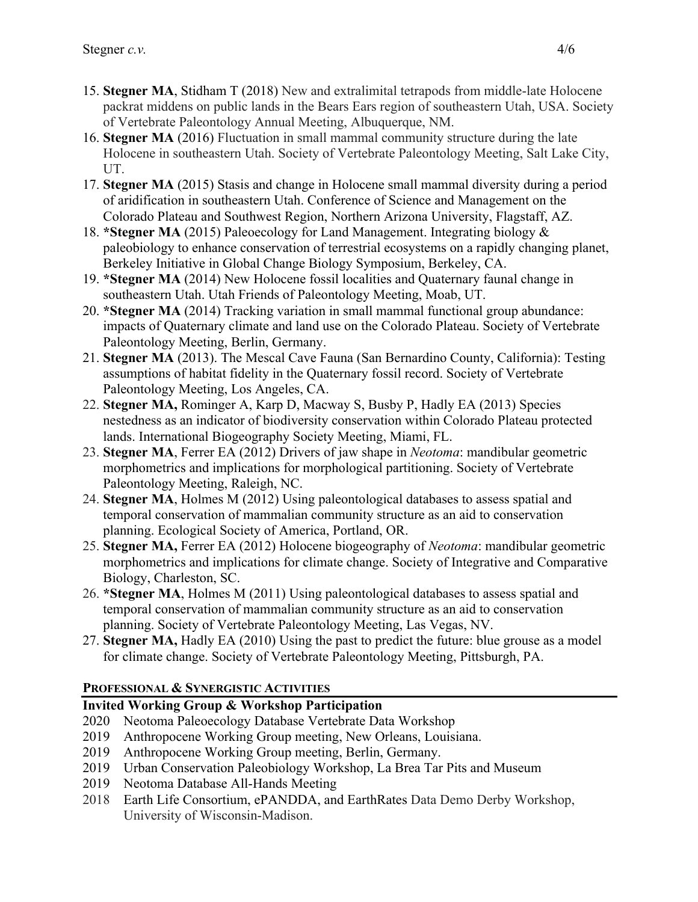- 15. **Stegner MA**, Stidham T (2018) New and extralimital tetrapods from middle-late Holocene packrat middens on public lands in the Bears Ears region of southeastern Utah, USA. Society of Vertebrate Paleontology Annual Meeting, Albuquerque, NM.
- 16. **Stegner MA** (2016) Fluctuation in small mammal community structure during the late Holocene in southeastern Utah. Society of Vertebrate Paleontology Meeting, Salt Lake City, UT.
- 17. **Stegner MA** (2015) Stasis and change in Holocene small mammal diversity during a period of aridification in southeastern Utah. Conference of Science and Management on the Colorado Plateau and Southwest Region, Northern Arizona University, Flagstaff, AZ.
- 18. **\*Stegner MA** (2015) Paleoecology for Land Management. Integrating biology & paleobiology to enhance conservation of terrestrial ecosystems on a rapidly changing planet, Berkeley Initiative in Global Change Biology Symposium, Berkeley, CA.
- 19. **\*Stegner MA** (2014) New Holocene fossil localities and Quaternary faunal change in southeastern Utah. Utah Friends of Paleontology Meeting, Moab, UT.
- 20. **\*Stegner MA** (2014) Tracking variation in small mammal functional group abundance: impacts of Quaternary climate and land use on the Colorado Plateau. Society of Vertebrate Paleontology Meeting, Berlin, Germany.
- 21. **Stegner MA** (2013). The Mescal Cave Fauna (San Bernardino County, California): Testing assumptions of habitat fidelity in the Quaternary fossil record. Society of Vertebrate Paleontology Meeting, Los Angeles, CA.
- 22. **Stegner MA,** Rominger A, Karp D, Macway S, Busby P, Hadly EA (2013) Species nestedness as an indicator of biodiversity conservation within Colorado Plateau protected lands. International Biogeography Society Meeting, Miami, FL.
- 23. **Stegner MA**, Ferrer EA (2012) Drivers of jaw shape in *Neotoma*: mandibular geometric morphometrics and implications for morphological partitioning. Society of Vertebrate Paleontology Meeting, Raleigh, NC.
- 24. **Stegner MA**, Holmes M (2012) Using paleontological databases to assess spatial and temporal conservation of mammalian community structure as an aid to conservation planning. Ecological Society of America, Portland, OR.
- 25. **Stegner MA,** Ferrer EA (2012) Holocene biogeography of *Neotoma*: mandibular geometric morphometrics and implications for climate change. Society of Integrative and Comparative Biology, Charleston, SC.
- 26. **\*Stegner MA**, Holmes M (2011) Using paleontological databases to assess spatial and temporal conservation of mammalian community structure as an aid to conservation planning. Society of Vertebrate Paleontology Meeting, Las Vegas, NV.
- 27. **Stegner MA,** Hadly EA (2010) Using the past to predict the future: blue grouse as a model for climate change. Society of Vertebrate Paleontology Meeting, Pittsburgh, PA.

# **PROFESSIONAL & SYNERGISTIC ACTIVITIES**

# **Invited Working Group & Workshop Participation**

- 2020 Neotoma Paleoecology Database Vertebrate Data Workshop
- 2019 Anthropocene Working Group meeting, New Orleans, Louisiana.
- 2019 Anthropocene Working Group meeting, Berlin, Germany.
- 2019 Urban Conservation Paleobiology Workshop, La Brea Tar Pits and Museum
- 2019 Neotoma Database All-Hands Meeting
- 2018 Earth Life Consortium, ePANDDA, and EarthRates Data Demo Derby Workshop, University of Wisconsin-Madison.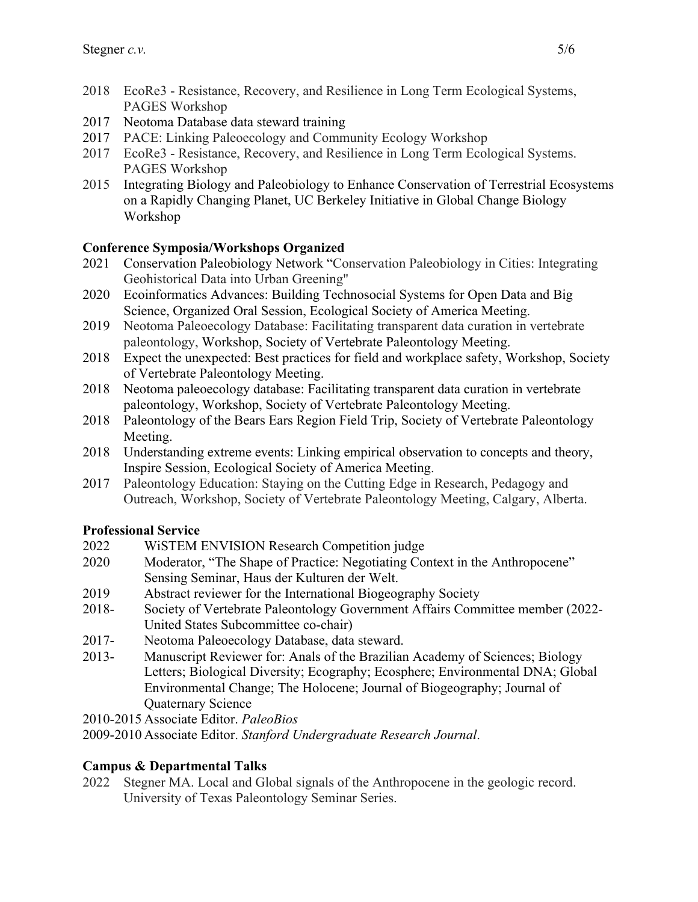- 2018 EcoRe3 Resistance, Recovery, and Resilience in Long Term Ecological Systems, PAGES Workshop
- 2017 Neotoma Database data steward training
- 2017 PACE: Linking Paleoecology and Community Ecology Workshop
- 2017 EcoRe3 Resistance, Recovery, and Resilience in Long Term Ecological Systems. PAGES Workshop
- 2015 Integrating Biology and Paleobiology to Enhance Conservation of Terrestrial Ecosystems on a Rapidly Changing Planet, UC Berkeley Initiative in Global Change Biology Workshop

# **Conference Symposia/Workshops Organized**

- 2021 Conservation Paleobiology Network "Conservation Paleobiology in Cities: Integrating Geohistorical Data into Urban Greening"
- 2020 Ecoinformatics Advances: Building Technosocial Systems for Open Data and Big Science, Organized Oral Session, Ecological Society of America Meeting.
- 2019 Neotoma Paleoecology Database: Facilitating transparent data curation in vertebrate paleontology, Workshop, Society of Vertebrate Paleontology Meeting.
- 2018 Expect the unexpected: Best practices for field and workplace safety, Workshop, Society of Vertebrate Paleontology Meeting.
- 2018 Neotoma paleoecology database: Facilitating transparent data curation in vertebrate paleontology, Workshop, Society of Vertebrate Paleontology Meeting.
- 2018 Paleontology of the Bears Ears Region Field Trip, Society of Vertebrate Paleontology Meeting.
- 2018 Understanding extreme events: Linking empirical observation to concepts and theory, Inspire Session, Ecological Society of America Meeting.
- 2017 Paleontology Education: Staying on the Cutting Edge in Research, Pedagogy and Outreach, Workshop, Society of Vertebrate Paleontology Meeting, Calgary, Alberta.

## **Professional Service**

- 2022 WiSTEM ENVISION Research Competition judge
- 2020 Moderator, "The Shape of Practice: Negotiating Context in the Anthropocene" Sensing Seminar, Haus der Kulturen der Welt.
- 2019 Abstract reviewer for the International Biogeography Society
- 2018- Society of Vertebrate Paleontology Government Affairs Committee member (2022- United States Subcommittee co-chair)
- 2017- Neotoma Paleoecology Database, data steward.
- 2013- Manuscript Reviewer for: Anals of the Brazilian Academy of Sciences; Biology Letters; Biological Diversity; Ecography; Ecosphere; Environmental DNA; Global Environmental Change; The Holocene; Journal of Biogeography; Journal of Quaternary Science

2010-2015 Associate Editor. *PaleoBios*

2009-2010 Associate Editor. *Stanford Undergraduate Research Journal*.

## **Campus & Departmental Talks**

2022 Stegner MA. Local and Global signals of the Anthropocene in the geologic record. University of Texas Paleontology Seminar Series.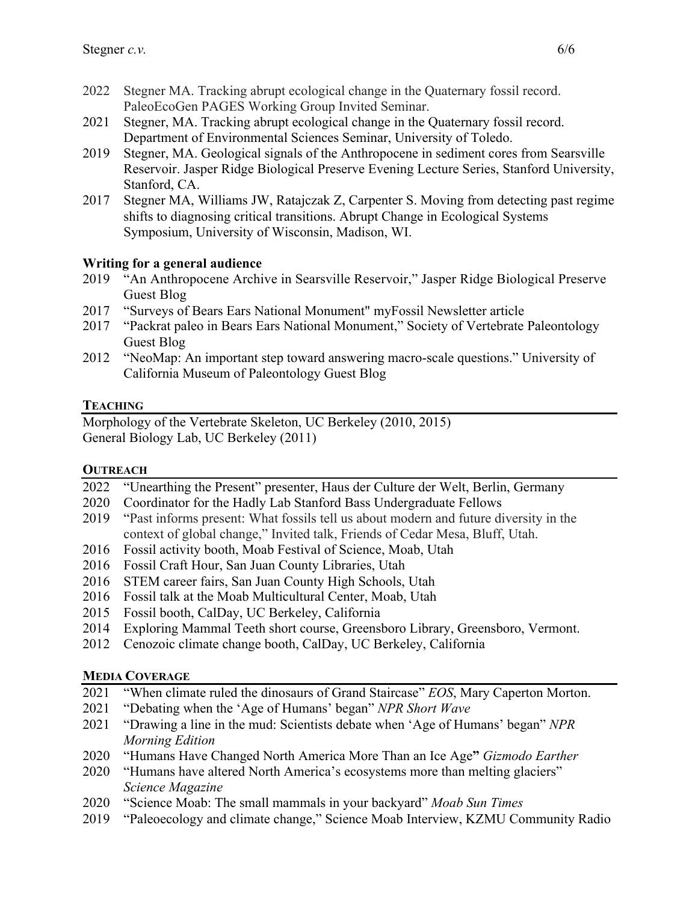- 2022 Stegner MA. Tracking abrupt ecological change in the Quaternary fossil record. PaleoEcoGen PAGES Working Group Invited Seminar.
- 2021 Stegner, MA. Tracking abrupt ecological change in the Quaternary fossil record. Department of Environmental Sciences Seminar, University of Toledo.
- 2019 Stegner, MA. Geological signals of the Anthropocene in sediment cores from Searsville Reservoir. Jasper Ridge Biological Preserve Evening Lecture Series, Stanford University, Stanford, CA.
- 2017 Stegner MA, Williams JW, Ratajczak Z, Carpenter S. Moving from detecting past regime shifts to diagnosing critical transitions. Abrupt Change in Ecological Systems Symposium, University of Wisconsin, Madison, WI.

## **Writing for a general audience**

- 2019 "An Anthropocene Archive in Searsville Reservoir," Jasper Ridge Biological Preserve Guest Blog
- 2017 "Surveys of Bears Ears National Monument" myFossil Newsletter article
- 2017 "Packrat paleo in Bears Ears National Monument," Society of Vertebrate Paleontology Guest Blog
- 2012 "NeoMap: An important step toward answering macro-scale questions." University of California Museum of Paleontology Guest Blog

# **TEACHING**

Morphology of the Vertebrate Skeleton, UC Berkeley (2010, 2015) General Biology Lab, UC Berkeley (2011)

## **OUTREACH**

- 2022 "Unearthing the Present" presenter, Haus der Culture der Welt, Berlin, Germany
- 2020 Coordinator for the Hadly Lab Stanford Bass Undergraduate Fellows
- 2019 "Past informs present: What fossils tell us about modern and future diversity in the context of global change," Invited talk, Friends of Cedar Mesa, Bluff, Utah.
- 2016 Fossil activity booth, Moab Festival of Science, Moab, Utah
- 2016 Fossil Craft Hour, San Juan County Libraries, Utah
- 2016 STEM career fairs, San Juan County High Schools, Utah
- 2016 Fossil talk at the Moab Multicultural Center, Moab, Utah
- 2015 Fossil booth, CalDay, UC Berkeley, California
- 2014 Exploring Mammal Teeth short course, Greensboro Library, Greensboro, Vermont.
- 2012 Cenozoic climate change booth, CalDay, UC Berkeley, California

# **MEDIA COVERAGE**

- 2021 "When climate ruled the dinosaurs of Grand Staircase" *EOS*, Mary Caperton Morton.
- 2021 "Debating when the 'Age of Humans' began" *NPR Short Wave*
- 2021 "Drawing a line in the mud: Scientists debate when 'Age of Humans' began" *NPR Morning Edition*
- 2020 "Humans Have Changed North America More Than an Ice Age**"** *Gizmodo Earther*
- 2020 "Humans have altered North America's ecosystems more than melting glaciers" *Science Magazine*
- 2020 "Science Moab: The small mammals in your backyard" *Moab Sun Times*
- 2019 "Paleoecology and climate change," Science Moab Interview, KZMU Community Radio